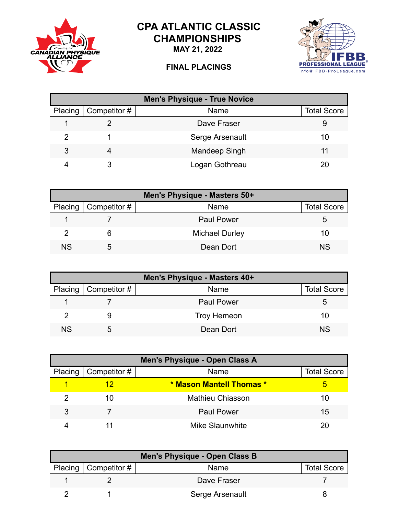

## **CPA ATLANTIC CLASSIC CHAMPIONSHIPS**

**MAY 21, 2022**

## **FINAL PLACINGS**



| <b>Men's Physique - True Novice</b> |              |                 |                    |
|-------------------------------------|--------------|-----------------|--------------------|
| Placing                             | Competitor # | Name            | <b>Total Score</b> |
|                                     |              | Dave Fraser     |                    |
| 2                                   |              | Serge Arsenault | 10                 |
| 3                                   | 4            | Mandeep Singh   | 11                 |
|                                     |              | Logan Gothreau  |                    |

|     | Men's Physique - Masters 50+ |                       |                    |  |  |
|-----|------------------------------|-----------------------|--------------------|--|--|
|     | Placing   Competitor #       | <b>Name</b>           | <b>Total Score</b> |  |  |
|     |                              | <b>Paul Power</b>     | 5.                 |  |  |
|     |                              | <b>Michael Durley</b> | 10                 |  |  |
| NS. | .h                           | Dean Dort             | <b>NS</b>          |  |  |

| Men's Physique - Masters 40+ |                        |                    |                    |  |
|------------------------------|------------------------|--------------------|--------------------|--|
|                              | Placing   Competitor # | <b>Name</b>        | <b>Total Score</b> |  |
|                              |                        | <b>Paul Power</b>  | 5.                 |  |
|                              |                        | <b>Troy Hemeon</b> | 10                 |  |
| ΝS                           |                        | Dean Dort          | <b>NS</b>          |  |

| Men's Physique - Open Class A |                        |                          |                    |
|-------------------------------|------------------------|--------------------------|--------------------|
|                               | Placing   Competitor # | Name                     | <b>Total Score</b> |
|                               |                        | * Mason Mantell Thomas * |                    |
|                               | 10                     | Mathieu Chiasson         | 10                 |
| 3                             |                        | <b>Paul Power</b>        | 15                 |
|                               |                        | Mike Slaunwhite          |                    |

| Men's Physique - Open Class B |                 |                    |  |  |
|-------------------------------|-----------------|--------------------|--|--|
| Placing $\vert$ Competitor #  | Name            | <b>Total Score</b> |  |  |
|                               | Dave Fraser     |                    |  |  |
|                               | Serge Arsenault |                    |  |  |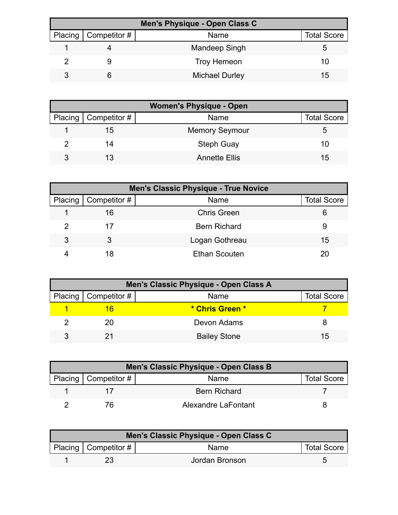| Men's Physique - Open Class C |                        |                       |                    |  |
|-------------------------------|------------------------|-----------------------|--------------------|--|
|                               | Placing   Competitor # | Name                  | <b>Total Score</b> |  |
|                               |                        | Mandeep Singh         |                    |  |
|                               |                        | <b>Troy Hemeon</b>    | 10                 |  |
|                               |                        | <b>Michael Durley</b> | 15                 |  |

| <b>Women's Physique - Open</b> |                              |                       |                    |  |
|--------------------------------|------------------------------|-----------------------|--------------------|--|
|                                | Placing $\vert$ Competitor # | <b>Name</b>           | <b>Total Score</b> |  |
|                                | 15                           | <b>Memory Seymour</b> | G                  |  |
|                                | 14                           | <b>Steph Guay</b>     | 10                 |  |
| 3                              |                              | <b>Annette Ellis</b>  | 15                 |  |

|                      | <b>Men's Classic Physique - True Novice</b> |                      |                    |  |  |
|----------------------|---------------------------------------------|----------------------|--------------------|--|--|
| Placing <sup>1</sup> | $\mid$ Competitor #                         | Name                 | <b>Total Score</b> |  |  |
|                      | 16                                          | <b>Chris Green</b>   | 6                  |  |  |
|                      | 17                                          | <b>Bern Richard</b>  | 9                  |  |  |
| 3                    |                                             | Logan Gothreau       | 15                 |  |  |
|                      | 18                                          | <b>Ethan Scouten</b> |                    |  |  |

| Men's Classic Physique - Open Class A |                        |                     |                    |  |
|---------------------------------------|------------------------|---------------------|--------------------|--|
|                                       | Placing   Competitor # | Name                | <b>Total Score</b> |  |
|                                       |                        | * Chris Green *     |                    |  |
|                                       | 20                     | Devon Adams         |                    |  |
|                                       |                        | <b>Bailey Stone</b> | 15                 |  |

| Men's Classic Physique - Open Class B |                     |                    |  |  |
|---------------------------------------|---------------------|--------------------|--|--|
| Placing   Competitor $#$              | Name                | <b>Total Score</b> |  |  |
|                                       | <b>Bern Richard</b> |                    |  |  |
|                                       | Alexandre LaFontant |                    |  |  |

| Men's Classic Physique - Open Class C |                        |                |                    |  |
|---------------------------------------|------------------------|----------------|--------------------|--|
|                                       | Placing   Competitor # | <b>Name</b>    | <b>Total Score</b> |  |
|                                       |                        | Jordan Bronson |                    |  |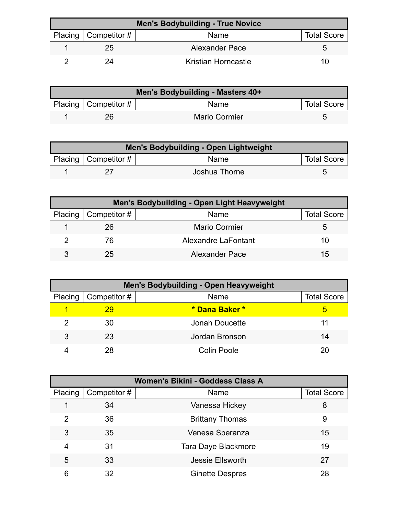| <b>Men's Bodybuilding - True Novice</b> |                        |                     |                    |
|-----------------------------------------|------------------------|---------------------|--------------------|
|                                         | Placing   Competitor # | Name                | <b>Total Score</b> |
|                                         | 25                     | Alexander Pace      |                    |
|                                         | 24                     | Kristian Horncastle | 11)                |

| Men's Bodybuilding - Masters 40+ |                        |                      |                    |  |
|----------------------------------|------------------------|----------------------|--------------------|--|
|                                  | Placing   Competitor # | Name                 | <b>Total Score</b> |  |
|                                  | 26                     | <b>Mario Cormier</b> |                    |  |

| Men's Bodybuilding - Open Lightweight |                           |               |                    |  |
|---------------------------------------|---------------------------|---------------|--------------------|--|
|                                       | Placing   Competitor $\#$ | Name          | <b>Total Score</b> |  |
|                                       |                           | Joshua Thorne |                    |  |

| Men's Bodybuilding - Open Light Heavyweight |                              |                      |                    |  |
|---------------------------------------------|------------------------------|----------------------|--------------------|--|
|                                             | Placing $\vert$ Competitor # | Name                 | <b>Total Score</b> |  |
|                                             | 26                           | <b>Mario Cormier</b> |                    |  |
|                                             | 76                           | Alexandre LaFontant  | 10                 |  |
| 3                                           | 25                           | Alexander Pace       | 15                 |  |

| <b>Men's Bodybuilding - Open Heavyweight</b> |                        |                |                    |  |
|----------------------------------------------|------------------------|----------------|--------------------|--|
|                                              | Placing   Competitor # | Name           | <b>Total Score</b> |  |
|                                              | 29                     | * Dana Baker * | b                  |  |
|                                              | 30                     | Jonah Doucette | 11                 |  |
| 3                                            | 23                     | Jordan Bronson | 14                 |  |
|                                              | 28                     | Colin Poole    | 20                 |  |

| Women's Bikini - Goddess Class A |              |                         |                    |  |
|----------------------------------|--------------|-------------------------|--------------------|--|
| Placing                          | Competitor # | Name                    | <b>Total Score</b> |  |
|                                  | 34           | Vanessa Hickey          | 8                  |  |
| 2                                | 36           | <b>Brittany Thomas</b>  | 9                  |  |
| 3                                | 35           | Venesa Speranza         | 15                 |  |
| 4                                | 31           | Tara Daye Blackmore     | 19                 |  |
| 5                                | 33           | <b>Jessie Ellsworth</b> | 27                 |  |
| 6                                | 32           | <b>Ginette Despres</b>  | 28                 |  |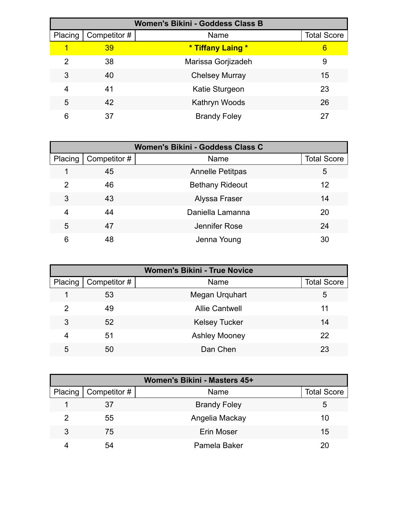| <b>Women's Bikini - Goddess Class B</b> |              |                       |                    |  |
|-----------------------------------------|--------------|-----------------------|--------------------|--|
| Placing                                 | Competitor # | Name                  | <b>Total Score</b> |  |
| 1                                       | 39           | * Tiffany Laing *     | 6                  |  |
| 2                                       | 38           | Marissa Gorjizadeh    | 9                  |  |
| 3                                       | 40           | <b>Chelsey Murray</b> | 15                 |  |
| 4                                       | 41           | Katie Sturgeon        | 23                 |  |
| 5                                       | 42           | Kathryn Woods         | 26                 |  |
| 6                                       | 37           | <b>Brandy Foley</b>   | 27                 |  |

| Women's Bikini - Goddess Class C |              |                         |                    |
|----------------------------------|--------------|-------------------------|--------------------|
| Placing                          | Competitor # | Name                    | <b>Total Score</b> |
|                                  | 45           | <b>Annelle Petitpas</b> | 5                  |
| 2                                | 46           | <b>Bethany Rideout</b>  | 12                 |
| 3                                | 43           | Alyssa Fraser           | 14                 |
| 4                                | 44           | Daniella Lamanna        | 20                 |
| 5                                | 47           | Jennifer Rose           | 24                 |
| 6                                | 48           | Jenna Young             | 30                 |

| <b>Women's Bikini - True Novice</b> |              |                       |                    |
|-------------------------------------|--------------|-----------------------|--------------------|
| Placing                             | Competitor # | Name                  | <b>Total Score</b> |
|                                     | 53           | Megan Urquhart        | 5                  |
| 2                                   | 49           | <b>Allie Cantwell</b> | 11                 |
| 3                                   | 52           | <b>Kelsey Tucker</b>  | 14                 |
| 4                                   | 51           | <b>Ashley Mooney</b>  | 22                 |
| 5                                   | 50           | Dan Chen              | 23                 |

| Women's Bikini - Masters 45+ |                        |                     |                    |  |
|------------------------------|------------------------|---------------------|--------------------|--|
|                              | Placing   Competitor # | Name                | <b>Total Score</b> |  |
|                              | 37                     | <b>Brandy Foley</b> | ა                  |  |
| 2                            | 55                     | Angelia Mackay      | 10                 |  |
| 3                            | 75                     | <b>Erin Moser</b>   | 15                 |  |
|                              | 54                     | Pamela Baker        |                    |  |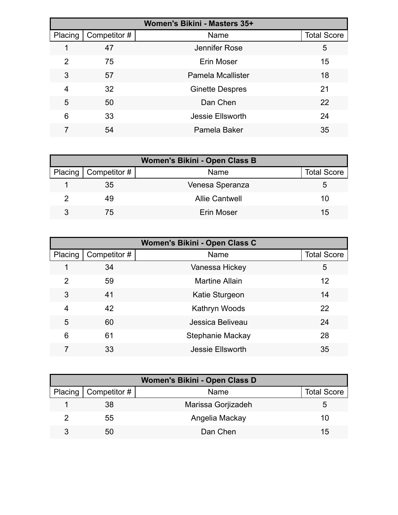| Women's Bikini - Masters 35+ |              |                          |                    |  |
|------------------------------|--------------|--------------------------|--------------------|--|
| Placing                      | Competitor # | Name                     | <b>Total Score</b> |  |
|                              | 47           | Jennifer Rose            | 5                  |  |
| 2                            | 75           | Erin Moser               | 15                 |  |
| 3                            | 57           | <b>Pamela Mcallister</b> | 18                 |  |
| 4                            | 32           | <b>Ginette Despres</b>   | 21                 |  |
| 5                            | 50           | Dan Chen                 | 22                 |  |
| 6                            | 33           | <b>Jessie Ellsworth</b>  | 24                 |  |
|                              | 54           | Pamela Baker             | 35                 |  |

| Women's Bikini - Open Class B |                        |                       |                    |  |
|-------------------------------|------------------------|-----------------------|--------------------|--|
|                               | Placing   Competitor # | Name                  | <b>Total Score</b> |  |
|                               | 35                     | Venesa Speranza       | :C                 |  |
|                               | 49                     | <b>Allie Cantwell</b> | 10                 |  |
|                               | 75                     | Erin Moser            | 15                 |  |

| Women's Bikini - Open Class C |              |                         |                    |
|-------------------------------|--------------|-------------------------|--------------------|
| Placing                       | Competitor # | Name                    | <b>Total Score</b> |
|                               | 34           | Vanessa Hickey          | 5                  |
| 2                             | 59           | <b>Martine Allain</b>   | 12                 |
| 3                             | 41           | Katie Sturgeon          | 14                 |
| 4                             | 42           | Kathryn Woods           | 22                 |
| 5                             | 60           | Jessica Beliveau        | 24                 |
| 6                             | 61           | Stephanie Mackay        | 28                 |
|                               | 33           | <b>Jessie Ellsworth</b> | 35                 |

| Women's Bikini - Open Class D |                        |                    |                    |  |
|-------------------------------|------------------------|--------------------|--------------------|--|
|                               | Placing   Competitor # | Name               | <b>Total Score</b> |  |
|                               | 38                     | Marissa Gorjizadeh | G                  |  |
|                               | 55                     | Angelia Mackay     | 10                 |  |
|                               | 50                     | Dan Chen           | 15                 |  |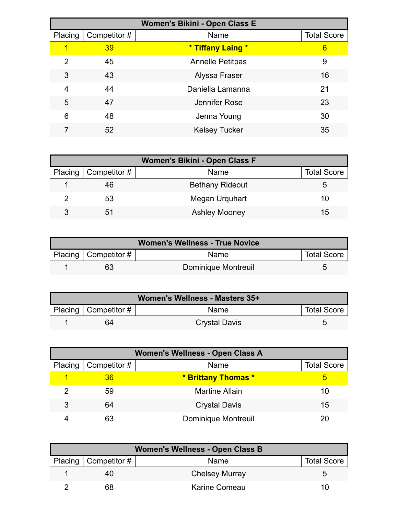| Women's Bikini - Open Class E |              |                         |                    |  |
|-------------------------------|--------------|-------------------------|--------------------|--|
| Placing                       | Competitor # | Name                    | <b>Total Score</b> |  |
|                               | 39           | * Tiffany Laing *       | 6                  |  |
| $\mathcal{P}$                 | 45           | <b>Annelle Petitpas</b> | 9                  |  |
| 3                             | 43           | Alyssa Fraser           | 16                 |  |
| 4                             | 44           | Daniella Lamanna        | 21                 |  |
| 5                             | 47           | Jennifer Rose           | 23                 |  |
| 6                             | 48           | Jenna Young             | 30                 |  |
|                               | 52           | <b>Kelsey Tucker</b>    | 35                 |  |

| Women's Bikini - Open Class F |                              |                        |                    |  |
|-------------------------------|------------------------------|------------------------|--------------------|--|
|                               | Placing $\vert$ Competitor # | Name                   | <b>Total Score</b> |  |
|                               | 46                           | <b>Bethany Rideout</b> | :5                 |  |
| າ                             | 53                           | Megan Urquhart         | 10                 |  |
| 3                             | 51                           | <b>Ashley Mooney</b>   | 15                 |  |

| <b>Women's Wellness - True Novice</b> |                           |                     |                    |  |
|---------------------------------------|---------------------------|---------------------|--------------------|--|
|                                       | Placing   Competitor $\#$ | <b>Name</b>         | <b>Total Score</b> |  |
|                                       | 63                        | Dominique Montreuil |                    |  |

| Women's Wellness - Masters 35+ |                          |                      |                    |  |
|--------------------------------|--------------------------|----------------------|--------------------|--|
|                                | Placing   Competitor $#$ | <b>Name</b>          | <b>Total Score</b> |  |
|                                | 64                       | <b>Crystal Davis</b> |                    |  |

| Women's Wellness - Open Class A |              |                            |                    |  |
|---------------------------------|--------------|----------------------------|--------------------|--|
| Placing                         | Competitor # | Name                       | <b>Total Score</b> |  |
| 1                               | 36           | * Brittany Thomas *        | 5                  |  |
|                                 | 59           | <b>Martine Allain</b>      | 10                 |  |
| 3                               | 64           | <b>Crystal Davis</b>       | 15                 |  |
|                                 | 63           | <b>Dominique Montreuil</b> | 20                 |  |

| <b>Women's Wellness - Open Class B</b> |                          |                       |                    |  |
|----------------------------------------|--------------------------|-----------------------|--------------------|--|
|                                        | Placing   Competitor $#$ | Name                  | <b>Total Score</b> |  |
|                                        | 40                       | <b>Chelsey Murray</b> |                    |  |
|                                        | 68                       | Karine Comeau         | 10                 |  |